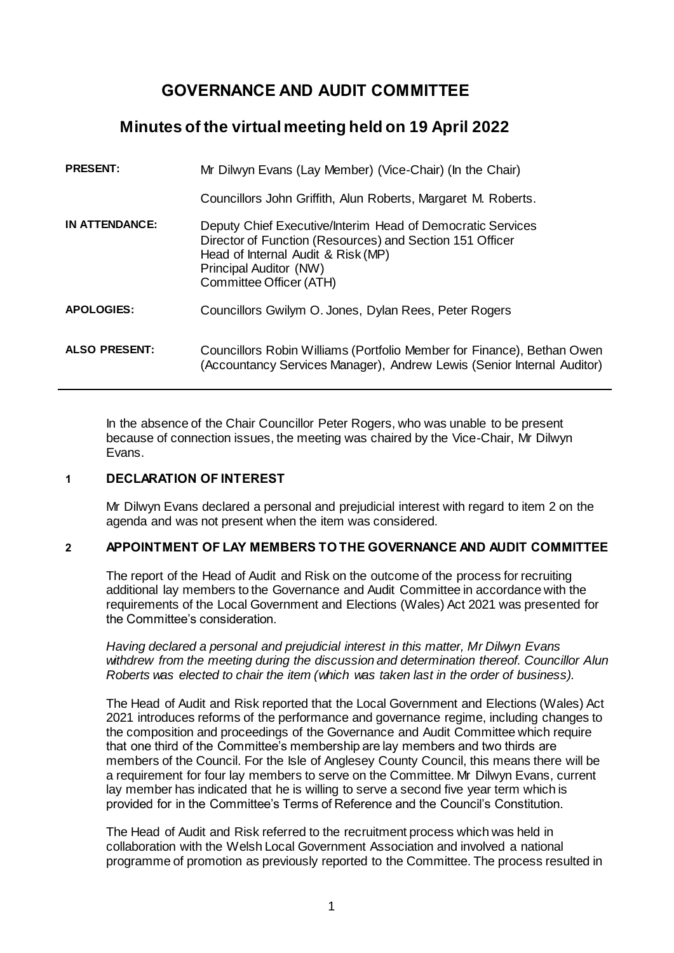# **GOVERNANCE AND AUDIT COMMITTEE**

# **Minutes of the virtual meeting held on 19 April 2022**

| <b>PRESENT:</b>       | Mr Dilwyn Evans (Lay Member) (Vice-Chair) (In the Chair)                                                                                                                                                          |
|-----------------------|-------------------------------------------------------------------------------------------------------------------------------------------------------------------------------------------------------------------|
|                       | Councillors John Griffith, Alun Roberts, Margaret M. Roberts.                                                                                                                                                     |
| <b>IN ATTENDANCE:</b> | Deputy Chief Executive/Interim Head of Democratic Services<br>Director of Function (Resources) and Section 151 Officer<br>Head of Internal Audit & Risk (MP)<br>Principal Auditor (NW)<br>Committee Officer (ATH) |
| <b>APOLOGIES:</b>     | Councillors Gwilym O. Jones, Dylan Rees, Peter Rogers                                                                                                                                                             |
| <b>ALSO PRESENT:</b>  | Councillors Robin Williams (Portfolio Member for Finance), Bethan Owen<br>(Accountancy Services Manager), Andrew Lewis (Senior Internal Auditor)                                                                  |

In the absence of the Chair Councillor Peter Rogers, who was unable to be present because of connection issues, the meeting was chaired by the Vice-Chair, Mr Dilwyn Evans.

# **1 DECLARATION OF INTEREST**

Mr Dilwyn Evans declared a personal and prejudicial interest with regard to item 2 on the agenda and was not present when the item was considered.

# **2 APPOINTMENT OF LAY MEMBERS TO THE GOVERNANCE AND AUDIT COMMITTEE**

The report of the Head of Audit and Risk on the outcome of the process for recruiting additional lay members to the Governance and Audit Committee in accordance with the requirements of the Local Government and Elections (Wales) Act 2021 was presented for the Committee's consideration.

*Having declared a personal and prejudicial interest in this matter, Mr Dilwyn Evans withdrew from the meeting during the discussion and determination thereof. Councillor Alun Roberts was elected to chair the item (which was taken last in the order of business).* 

The Head of Audit and Risk reported that the Local Government and Elections (Wales) Act 2021 introduces reforms of the performance and governance regime, including changes to the composition and proceedings of the Governance and Audit Committee which require that one third of the Committee's membership are lay members and two thirds are members of the Council. For the Isle of Anglesey County Council, this means there will be a requirement for four lay members to serve on the Committee. Mr Dilwyn Evans, current lay member has indicated that he is willing to serve a second five year term which is provided for in the Committee's Terms of Reference and the Council's Constitution.

The Head of Audit and Risk referred to the recruitment process which was held in collaboration with the Welsh Local Government Association and involved a national programme of promotion as previously reported to the Committee. The process resulted in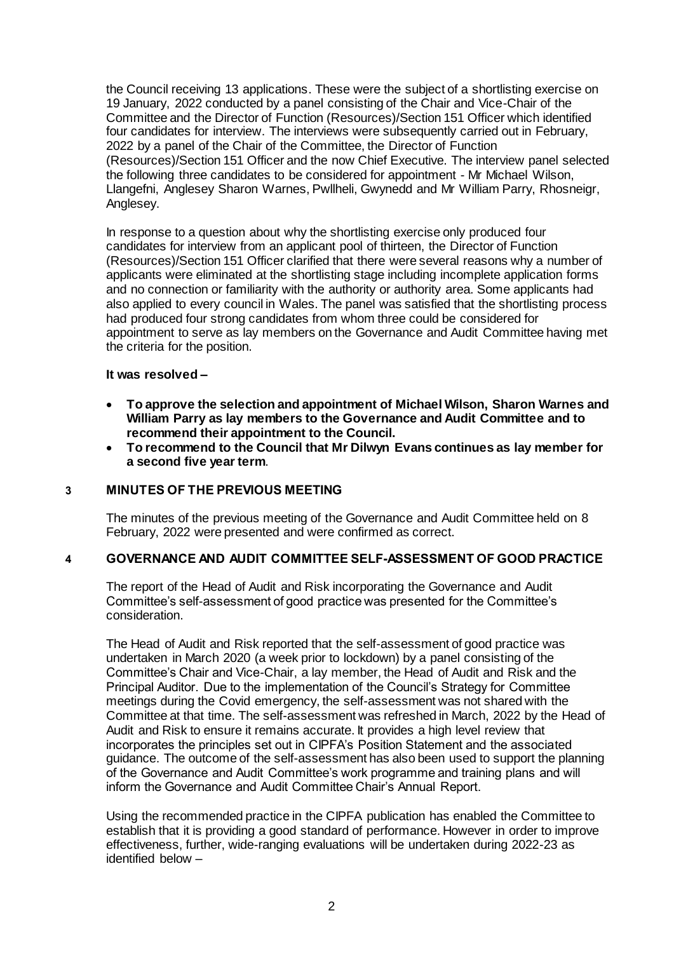the Council receiving 13 applications. These were the subject of a shortlisting exercise on 19 January, 2022 conducted by a panel consisting of the Chair and Vice-Chair of the Committee and the Director of Function (Resources)/Section 151 Officer which identified four candidates for interview. The interviews were subsequently carried out in February, 2022 by a panel of the Chair of the Committee, the Director of Function (Resources)/Section 151 Officer and the now Chief Executive. The interview panel selected the following three candidates to be considered for appointment - Mr Michael Wilson, Llangefni, Anglesey Sharon Warnes, Pwllheli, Gwynedd and Mr William Parry, Rhosneigr, Anglesey.

In response to a question about why the shortlisting exercise only produced four candidates for interview from an applicant pool of thirteen, the Director of Function (Resources)/Section 151 Officer clarified that there were several reasons why a number of applicants were eliminated at the shortlisting stage including incomplete application forms and no connection or familiarity with the authority or authority area. Some applicants had also applied to every council in Wales. The panel was satisfied that the shortlisting process had produced four strong candidates from whom three could be considered for appointment to serve as lay members on the Governance and Audit Committee having met the criteria for the position.

#### **It was resolved –**

- **To approve the selection and appointment of Michael Wilson, Sharon Warnes and William Parry as lay members to the Governance and Audit Committee and to recommend their appointment to the Council.**
- **To recommend to the Council that Mr Dilwyn Evans continues as lay member for a second five year term**.

# **3 MINUTES OF THE PREVIOUS MEETING**

The minutes of the previous meeting of the Governance and Audit Committee held on 8 February, 2022 were presented and were confirmed as correct.

# **4 GOVERNANCE AND AUDIT COMMITTEE SELF-ASSESSMENT OF GOOD PRACTICE**

The report of the Head of Audit and Risk incorporating the Governance and Audit Committee's self-assessment of good practice was presented for the Committee's consideration.

The Head of Audit and Risk reported that the self-assessment of good practice was undertaken in March 2020 (a week prior to lockdown) by a panel consisting of the Committee's Chair and Vice-Chair, a lay member, the Head of Audit and Risk and the Principal Auditor. Due to the implementation of the Council's Strategy for Committee meetings during the Covid emergency, the self-assessment was not shared with the Committee at that time. The self-assessment was refreshed in March, 2022 by the Head of Audit and Risk to ensure it remains accurate. It provides a high level review that incorporates the principles set out in CIPFA's Position Statement and the associated guidance. The outcome of the self-assessment has also been used to support the planning of the Governance and Audit Committee's work programme and training plans and will inform the Governance and Audit Committee Chair's Annual Report.

Using the recommended practice in the CIPFA publication has enabled the Committee to establish that it is providing a good standard of performance. However in order to improve effectiveness, further, wide-ranging evaluations will be undertaken during 2022-23 as identified below –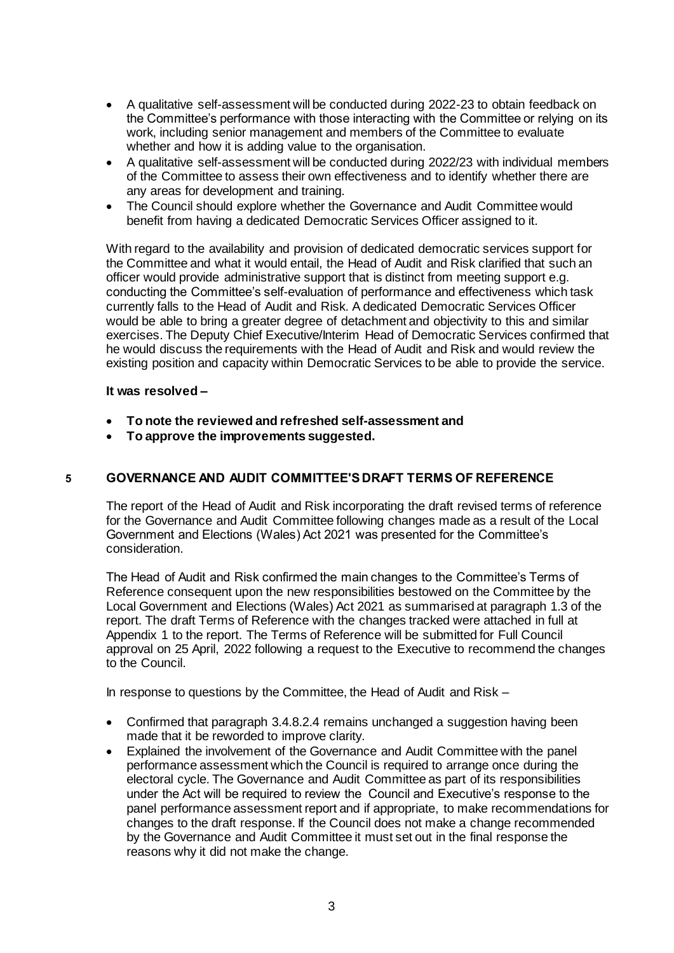- A qualitative self-assessment will be conducted during 2022-23 to obtain feedback on the Committee's performance with those interacting with the Committee or relying on its work, including senior management and members of the Committee to evaluate whether and how it is adding value to the organisation.
- A qualitative self-assessment will be conducted during 2022/23 with individual members of the Committee to assess their own effectiveness and to identify whether there are any areas for development and training.
- The Council should explore whether the Governance and Audit Committee would benefit from having a dedicated Democratic Services Officer assigned to it.

With regard to the availability and provision of dedicated democratic services support for the Committee and what it would entail, the Head of Audit and Risk clarified that such an officer would provide administrative support that is distinct from meeting support e.g. conducting the Committee's self-evaluation of performance and effectiveness which task currently falls to the Head of Audit and Risk. A dedicated Democratic Services Officer would be able to bring a greater degree of detachment and objectivity to this and similar exercises. The Deputy Chief Executive/Interim Head of Democratic Services confirmed that he would discuss the requirements with the Head of Audit and Risk and would review the existing position and capacity within Democratic Services to be able to provide the service.

#### **It was resolved –**

- **To note the reviewed and refreshed self-assessment and**
- **To approve the improvements suggested.**

# **5 GOVERNANCE AND AUDIT COMMITTEE'S DRAFT TERMS OF REFERENCE**

The report of the Head of Audit and Risk incorporating the draft revised terms of reference for the Governance and Audit Committee following changes made as a result of the Local Government and Elections (Wales) Act 2021 was presented for the Committee's consideration.

The Head of Audit and Risk confirmed the main changes to the Committee's Terms of Reference consequent upon the new responsibilities bestowed on the Committee by the Local Government and Elections (Wales) Act 2021 as summarised at paragraph 1.3 of the report. The draft Terms of Reference with the changes tracked were attached in full at Appendix 1 to the report. The Terms of Reference will be submitted for Full Council approval on 25 April, 2022 following a request to the Executive to recommend the changes to the Council.

In response to questions by the Committee, the Head of Audit and Risk –

- Confirmed that paragraph 3.4.8.2.4 remains unchanged a suggestion having been made that it be reworded to improve clarity.
- Explained the involvement of the Governance and Audit Committee with the panel performance assessment which the Council is required to arrange once during the electoral cycle. The Governance and Audit Committee as part of its responsibilities under the Act will be required to review the Council and Executive's response to the panel performance assessment report and if appropriate, to make recommendations for changes to the draft response. If the Council does not make a change recommended by the Governance and Audit Committee it must set out in the final response the reasons why it did not make the change.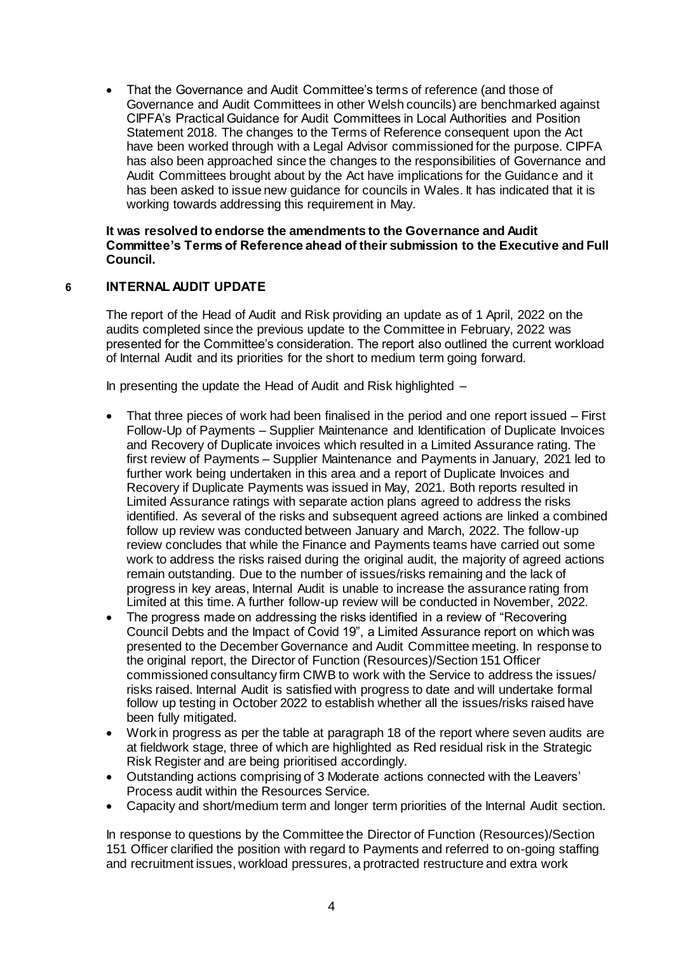That the Governance and Audit Committee's terms of reference (and those of Governance and Audit Committees in other Welsh councils) are benchmarked against CIPFA's Practical Guidance for Audit Committees in Local Authorities and Position Statement 2018. The changes to the Terms of Reference consequent upon the Act have been worked through with a Legal Advisor commissioned for the purpose. CIPFA has also been approached since the changes to the responsibilities of Governance and Audit Committees brought about by the Act have implications for the Guidance and it has been asked to issue new guidance for councils in Wales. It has indicated that it is working towards addressing this requirement in May.

#### **It was resolved to endorse the amendments to the Governance and Audit Committee's Terms of Reference ahead of their submission to the Executive and Full Council.**

# **6 INTERNAL AUDIT UPDATE**

The report of the Head of Audit and Risk providing an update as of 1 April, 2022 on the audits completed since the previous update to the Committee in February, 2022 was presented for the Committee's consideration. The report also outlined the current workload of Internal Audit and its priorities for the short to medium term going forward.

In presenting the update the Head of Audit and Risk highlighted –

- That three pieces of work had been finalised in the period and one report issued First Follow-Up of Payments – Supplier Maintenance and Identification of Duplicate Invoices and Recovery of Duplicate invoices which resulted in a Limited Assurance rating. The first review of Payments – Supplier Maintenance and Payments in January, 2021 led to further work being undertaken in this area and a report of Duplicate Invoices and Recovery if Duplicate Payments was issued in May, 2021. Both reports resulted in Limited Assurance ratings with separate action plans agreed to address the risks identified. As several of the risks and subsequent agreed actions are linked a combined follow up review was conducted between January and March, 2022. The follow-up review concludes that while the Finance and Payments teams have carried out some work to address the risks raised during the original audit, the majority of agreed actions remain outstanding. Due to the number of issues/risks remaining and the lack of progress in key areas, Internal Audit is unable to increase the assurance rating from Limited at this time. A further follow-up review will be conducted in November, 2022.
- The progress made on addressing the risks identified in a review of "Recovering Council Debts and the Impact of Covid 19", a Limited Assurance report on which was presented to the December Governance and Audit Committee meeting. In response to the original report, the Director of Function (Resources)/Section 151 Officer commissioned consultancy firm CIWB to work with the Service to address the issues/ risks raised. Internal Audit is satisfied with progress to date and will undertake formal follow up testing in October 2022 to establish whether all the issues/risks raised have been fully mitigated.
- Work in progress as per the table at paragraph 18 of the report where seven audits are at fieldwork stage, three of which are highlighted as Red residual risk in the Strategic Risk Register and are being prioritised accordingly.
- Outstanding actions comprising of 3 Moderate actions connected with the Leavers' Process audit within the Resources Service.
- Capacity and short/medium term and longer term priorities of the Internal Audit section.

In response to questions by the Committee the Director of Function (Resources)/Section 151 Officer clarified the position with regard to Payments and referred to on-going staffing and recruitment issues, workload pressures, a protracted restructure and extra work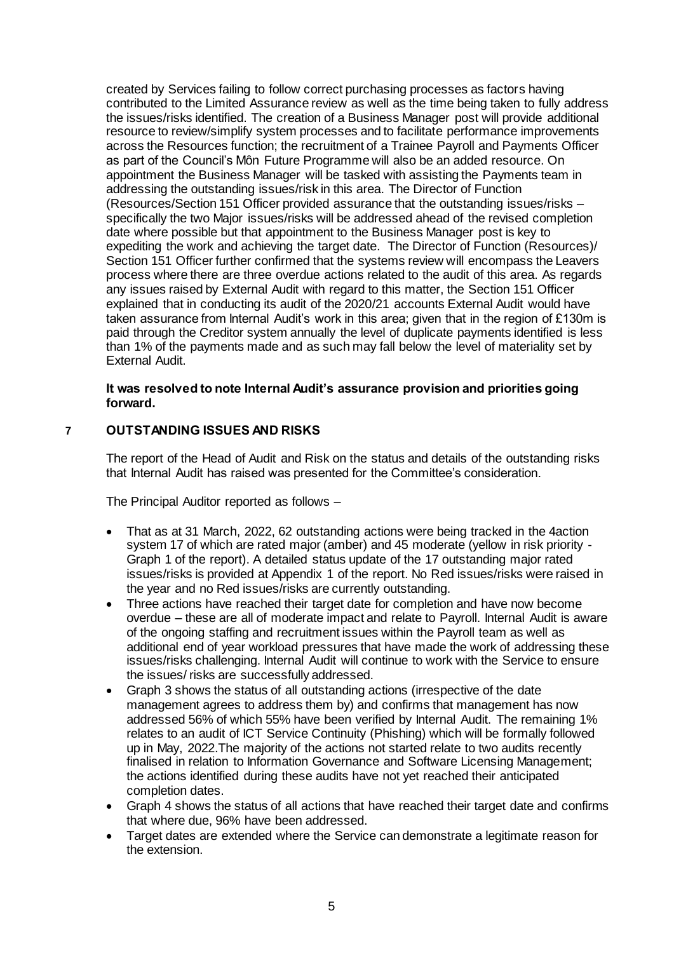created by Services failing to follow correct purchasing processes as factors having contributed to the Limited Assurance review as well as the time being taken to fully address the issues/risks identified. The creation of a Business Manager post will provide additional resource to review/simplify system processes and to facilitate performance improvements across the Resources function; the recruitment of a Trainee Payroll and Payments Officer as part of the Council's Môn Future Programme will also be an added resource. On appointment the Business Manager will be tasked with assisting the Payments team in addressing the outstanding issues/risk in this area. The Director of Function (Resources/Section 151 Officer provided assurance that the outstanding issues/risks – specifically the two Major issues/risks will be addressed ahead of the revised completion date where possible but that appointment to the Business Manager post is key to expediting the work and achieving the target date. The Director of Function (Resources)/ Section 151 Officer further confirmed that the systems review will encompass the Leavers process where there are three overdue actions related to the audit of this area. As regards any issues raised by External Audit with regard to this matter, the Section 151 Officer explained that in conducting its audit of the 2020/21 accounts External Audit would have taken assurance from Internal Audit's work in this area; given that in the region of £130m is paid through the Creditor system annually the level of duplicate payments identified is less than 1% of the payments made and as such may fall below the level of materiality set by External Audit.

### **It was resolved to note Internal Audit's assurance provision and priorities going forward.**

# **7 OUTSTANDING ISSUES AND RISKS**

The report of the Head of Audit and Risk on the status and details of the outstanding risks that Internal Audit has raised was presented for the Committee's consideration.

The Principal Auditor reported as follows –

- That as at 31 March, 2022, 62 outstanding actions were being tracked in the 4action system 17 of which are rated major (amber) and 45 moderate (yellow in risk priority - Graph 1 of the report). A detailed status update of the 17 outstanding major rated issues/risks is provided at Appendix 1 of the report. No Red issues/risks were raised in the year and no Red issues/risks are currently outstanding.
- Three actions have reached their target date for completion and have now become overdue – these are all of moderate impact and relate to Payroll. Internal Audit is aware of the ongoing staffing and recruitment issues within the Payroll team as well as additional end of year workload pressures that have made the work of addressing these issues/risks challenging. Internal Audit will continue to work with the Service to ensure the issues/ risks are successfully addressed.
- Graph 3 shows the status of all outstanding actions (irrespective of the date management agrees to address them by) and confirms that management has now addressed 56% of which 55% have been verified by Internal Audit. The remaining 1% relates to an audit of ICT Service Continuity (Phishing) which will be formally followed up in May, 2022.The majority of the actions not started relate to two audits recently finalised in relation to Information Governance and Software Licensing Management; the actions identified during these audits have not yet reached their anticipated completion dates.
- Graph 4 shows the status of all actions that have reached their target date and confirms that where due, 96% have been addressed.
- Target dates are extended where the Service can demonstrate a legitimate reason for the extension.